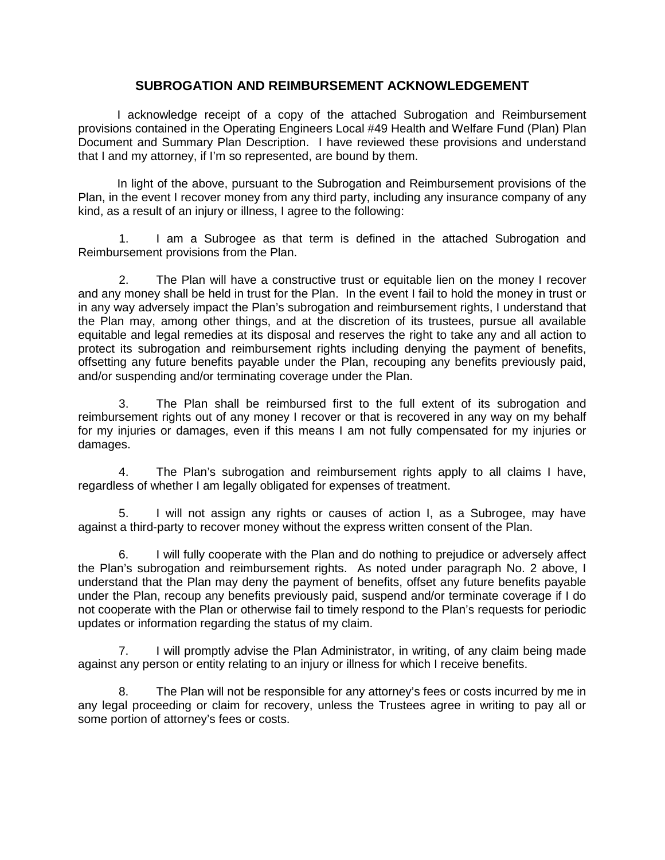# **SUBROGATION AND REIMBURSEMENT ACKNOWLEDGEMENT**

I acknowledge receipt of a copy of the attached Subrogation and Reimbursement provisions contained in the Operating Engineers Local #49 Health and Welfare Fund (Plan) Plan Document and Summary Plan Description. I have reviewed these provisions and understand that I and my attorney, if I'm so represented, are bound by them.

In light of the above, pursuant to the Subrogation and Reimbursement provisions of the Plan, in the event I recover money from any third party, including any insurance company of any kind, as a result of an injury or illness, I agree to the following:

1. I am a Subrogee as that term is defined in the attached Subrogation and Reimbursement provisions from the Plan.

2. The Plan will have a constructive trust or equitable lien on the money I recover and any money shall be held in trust for the Plan. In the event I fail to hold the money in trust or in any way adversely impact the Plan's subrogation and reimbursement rights, I understand that the Plan may, among other things, and at the discretion of its trustees, pursue all available equitable and legal remedies at its disposal and reserves the right to take any and all action to protect its subrogation and reimbursement rights including denying the payment of benefits, offsetting any future benefits payable under the Plan, recouping any benefits previously paid, and/or suspending and/or terminating coverage under the Plan.

3. The Plan shall be reimbursed first to the full extent of its subrogation and reimbursement rights out of any money I recover or that is recovered in any way on my behalf for my injuries or damages, even if this means I am not fully compensated for my injuries or damages.

4. The Plan's subrogation and reimbursement rights apply to all claims I have, regardless of whether I am legally obligated for expenses of treatment.

5. I will not assign any rights or causes of action I, as a Subrogee, may have against a third-party to recover money without the express written consent of the Plan.

6. I will fully cooperate with the Plan and do nothing to prejudice or adversely affect the Plan's subrogation and reimbursement rights. As noted under paragraph No. 2 above, I understand that the Plan may deny the payment of benefits, offset any future benefits payable under the Plan, recoup any benefits previously paid, suspend and/or terminate coverage if I do not cooperate with the Plan or otherwise fail to timely respond to the Plan's requests for periodic updates or information regarding the status of my claim.

7. I will promptly advise the Plan Administrator, in writing, of any claim being made against any person or entity relating to an injury or illness for which I receive benefits.

8. The Plan will not be responsible for any attorney's fees or costs incurred by me in any legal proceeding or claim for recovery, unless the Trustees agree in writing to pay all or some portion of attorney's fees or costs.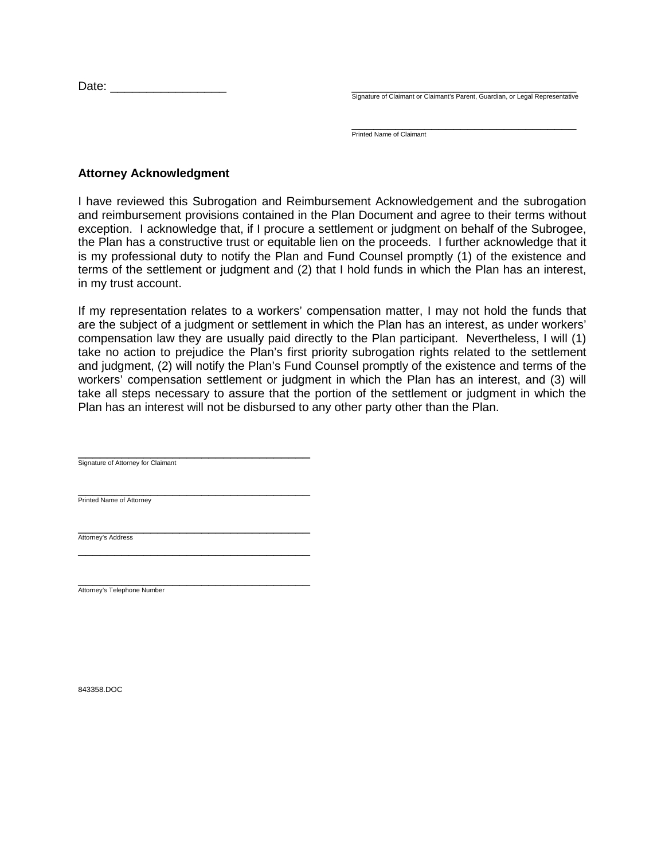Date: \_\_\_\_\_\_\_\_\_\_\_\_\_\_\_\_ \_\_\_\_\_\_\_\_\_\_\_\_\_\_\_\_\_\_\_\_\_\_\_\_\_\_\_\_\_\_\_

Signature of Claimant or Claimant's Parent, Guardian, or Legal Representative

\_\_\_\_\_\_\_\_\_\_\_\_\_\_\_\_\_\_\_\_\_\_\_\_\_\_\_\_\_\_\_ Printed Name of Claimant

# **Attorney Acknowledgment**

I have reviewed this Subrogation and Reimbursement Acknowledgement and the subrogation and reimbursement provisions contained in the Plan Document and agree to their terms without exception. I acknowledge that, if I procure a settlement or judgment on behalf of the Subrogee, the Plan has a constructive trust or equitable lien on the proceeds. I further acknowledge that it is my professional duty to notify the Plan and Fund Counsel promptly (1) of the existence and terms of the settlement or judgment and (2) that I hold funds in which the Plan has an interest, in my trust account.

If my representation relates to a workers' compensation matter, I may not hold the funds that are the subject of a judgment or settlement in which the Plan has an interest, as under workers' compensation law they are usually paid directly to the Plan participant. Nevertheless, I will (1) take no action to prejudice the Plan's first priority subrogation rights related to the settlement and judgment, (2) will notify the Plan's Fund Counsel promptly of the existence and terms of the workers' compensation settlement or judgment in which the Plan has an interest, and (3) will take all steps necessary to assure that the portion of the settlement or judgment in which the Plan has an interest will not be disbursed to any other party other than the Plan.

\_\_\_\_\_\_\_\_\_\_\_\_\_\_\_\_\_\_\_\_\_\_\_\_\_\_\_\_\_\_\_\_ Signature of Attorney for Claimant

\_\_\_\_\_\_\_\_\_\_\_\_\_\_\_\_\_\_\_\_\_\_\_\_\_\_\_\_\_\_\_\_

\_\_\_\_\_\_\_\_\_\_\_\_\_\_\_\_\_\_\_\_\_\_\_\_\_\_\_\_\_\_\_\_ Printed Name of Attorney

\_\_\_\_\_\_\_\_\_\_\_\_\_\_\_\_\_\_\_\_\_\_\_\_\_\_\_\_\_\_\_\_ Attorney's Address

\_\_\_\_\_\_\_\_\_\_\_\_\_\_\_\_\_\_\_\_\_\_\_\_\_\_\_\_\_\_\_\_ Attorney's Telephone Number

843358.DOC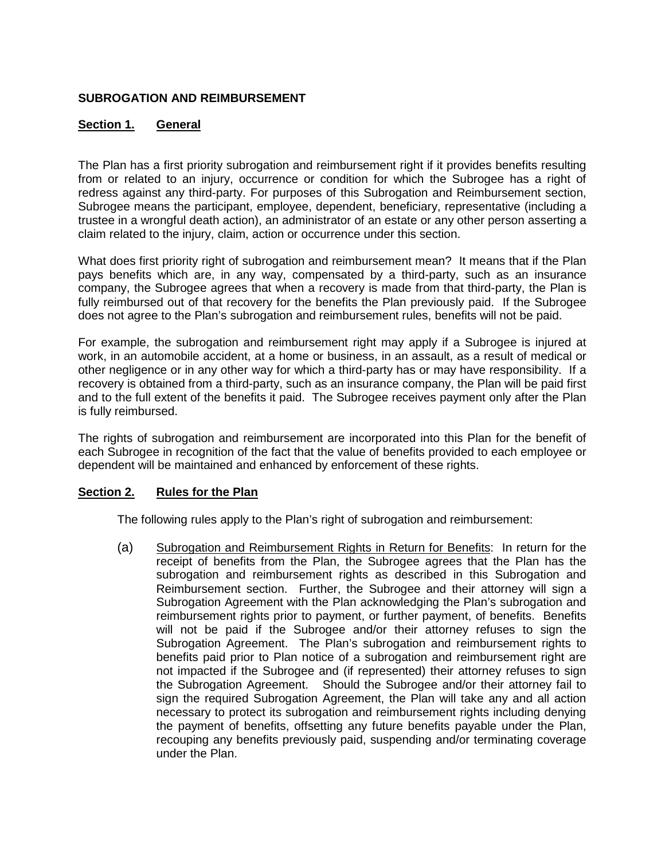# **SUBROGATION AND REIMBURSEMENT**

# **Section 1. General**

The Plan has a first priority subrogation and reimbursement right if it provides benefits resulting from or related to an injury, occurrence or condition for which the Subrogee has a right of redress against any third-party. For purposes of this Subrogation and Reimbursement section, Subrogee means the participant, employee, dependent, beneficiary, representative (including a trustee in a wrongful death action), an administrator of an estate or any other person asserting a claim related to the injury, claim, action or occurrence under this section.

What does first priority right of subrogation and reimbursement mean? It means that if the Plan pays benefits which are, in any way, compensated by a third-party, such as an insurance company, the Subrogee agrees that when a recovery is made from that third-party, the Plan is fully reimbursed out of that recovery for the benefits the Plan previously paid. If the Subrogee does not agree to the Plan's subrogation and reimbursement rules, benefits will not be paid.

For example, the subrogation and reimbursement right may apply if a Subrogee is injured at work, in an automobile accident, at a home or business, in an assault, as a result of medical or other negligence or in any other way for which a third-party has or may have responsibility. If a recovery is obtained from a third-party, such as an insurance company, the Plan will be paid first and to the full extent of the benefits it paid. The Subrogee receives payment only after the Plan is fully reimbursed.

The rights of subrogation and reimbursement are incorporated into this Plan for the benefit of each Subrogee in recognition of the fact that the value of benefits provided to each employee or dependent will be maintained and enhanced by enforcement of these rights.

# **Section 2. Rules for the Plan**

The following rules apply to the Plan's right of subrogation and reimbursement:

(a) Subrogation and Reimbursement Rights in Return for Benefits: In return for the receipt of benefits from the Plan, the Subrogee agrees that the Plan has the subrogation and reimbursement rights as described in this Subrogation and Reimbursement section. Further, the Subrogee and their attorney will sign a Subrogation Agreement with the Plan acknowledging the Plan's subrogation and reimbursement rights prior to payment, or further payment, of benefits. Benefits will not be paid if the Subrogee and/or their attorney refuses to sign the Subrogation Agreement. The Plan's subrogation and reimbursement rights to benefits paid prior to Plan notice of a subrogation and reimbursement right are not impacted if the Subrogee and (if represented) their attorney refuses to sign the Subrogation Agreement. Should the Subrogee and/or their attorney fail to sign the required Subrogation Agreement, the Plan will take any and all action necessary to protect its subrogation and reimbursement rights including denying the payment of benefits, offsetting any future benefits payable under the Plan, recouping any benefits previously paid, suspending and/or terminating coverage under the Plan.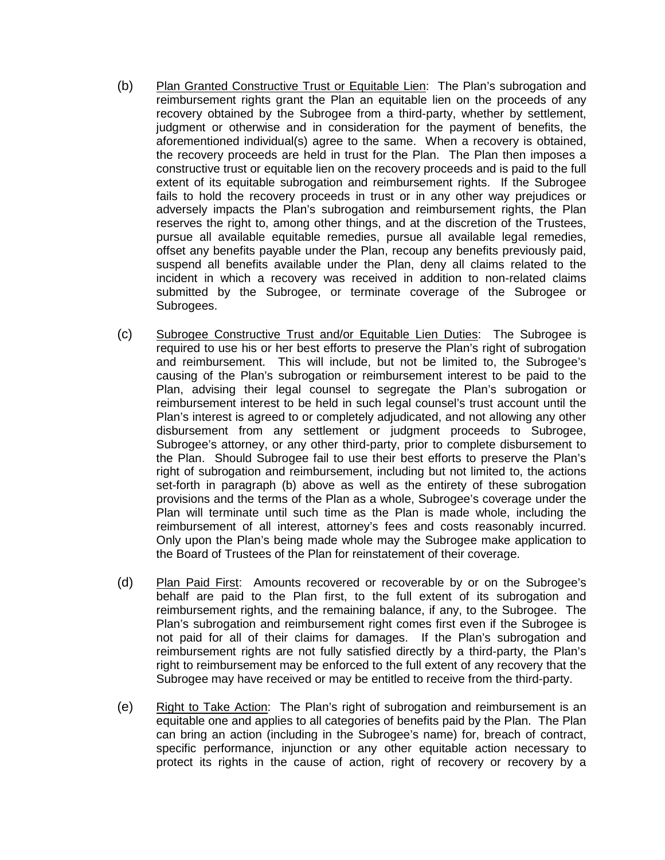- (b) Plan Granted Constructive Trust or Equitable Lien: The Plan's subrogation and reimbursement rights grant the Plan an equitable lien on the proceeds of any recovery obtained by the Subrogee from a third-party, whether by settlement, judgment or otherwise and in consideration for the payment of benefits, the aforementioned individual(s) agree to the same. When a recovery is obtained, the recovery proceeds are held in trust for the Plan. The Plan then imposes a constructive trust or equitable lien on the recovery proceeds and is paid to the full extent of its equitable subrogation and reimbursement rights. If the Subrogee fails to hold the recovery proceeds in trust or in any other way prejudices or adversely impacts the Plan's subrogation and reimbursement rights, the Plan reserves the right to, among other things, and at the discretion of the Trustees, pursue all available equitable remedies, pursue all available legal remedies, offset any benefits payable under the Plan, recoup any benefits previously paid, suspend all benefits available under the Plan, deny all claims related to the incident in which a recovery was received in addition to non-related claims submitted by the Subrogee, or terminate coverage of the Subrogee or Subrogees.
- (c) Subrogee Constructive Trust and/or Equitable Lien Duties: The Subrogee is required to use his or her best efforts to preserve the Plan's right of subrogation and reimbursement. This will include, but not be limited to, the Subrogee's causing of the Plan's subrogation or reimbursement interest to be paid to the Plan, advising their legal counsel to segregate the Plan's subrogation or reimbursement interest to be held in such legal counsel's trust account until the Plan's interest is agreed to or completely adjudicated, and not allowing any other disbursement from any settlement or judgment proceeds to Subrogee, Subrogee's attorney, or any other third-party, prior to complete disbursement to the Plan. Should Subrogee fail to use their best efforts to preserve the Plan's right of subrogation and reimbursement, including but not limited to, the actions set-forth in paragraph (b) above as well as the entirety of these subrogation provisions and the terms of the Plan as a whole, Subrogee's coverage under the Plan will terminate until such time as the Plan is made whole, including the reimbursement of all interest, attorney's fees and costs reasonably incurred. Only upon the Plan's being made whole may the Subrogee make application to the Board of Trustees of the Plan for reinstatement of their coverage.
- (d) Plan Paid First: Amounts recovered or recoverable by or on the Subrogee's behalf are paid to the Plan first, to the full extent of its subrogation and reimbursement rights, and the remaining balance, if any, to the Subrogee. The Plan's subrogation and reimbursement right comes first even if the Subrogee is not paid for all of their claims for damages. If the Plan's subrogation and reimbursement rights are not fully satisfied directly by a third-party, the Plan's right to reimbursement may be enforced to the full extent of any recovery that the Subrogee may have received or may be entitled to receive from the third-party.
- (e) Right to Take Action: The Plan's right of subrogation and reimbursement is an equitable one and applies to all categories of benefits paid by the Plan. The Plan can bring an action (including in the Subrogee's name) for, breach of contract, specific performance, injunction or any other equitable action necessary to protect its rights in the cause of action, right of recovery or recovery by a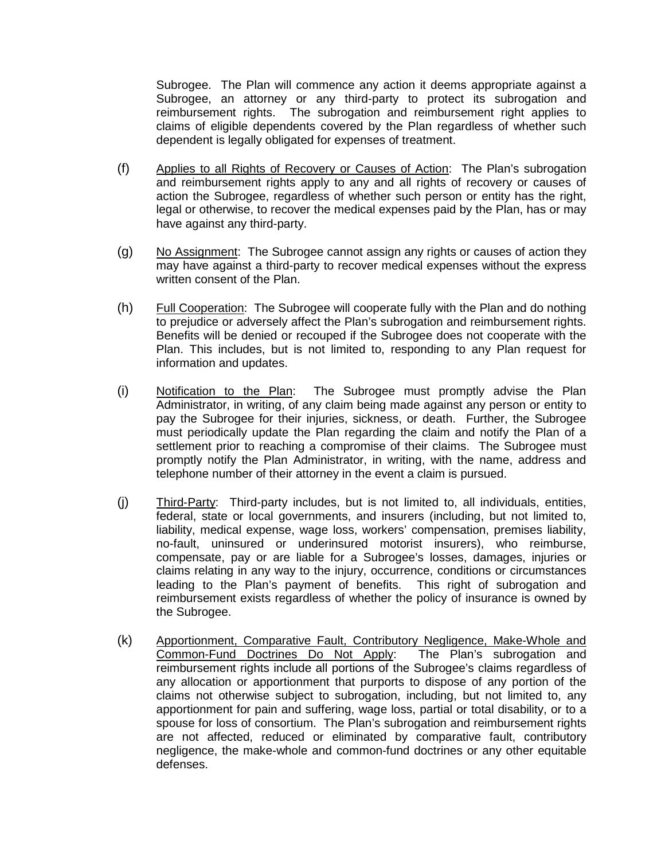Subrogee. The Plan will commence any action it deems appropriate against a Subrogee, an attorney or any third-party to protect its subrogation and reimbursement rights. The subrogation and reimbursement right applies to claims of eligible dependents covered by the Plan regardless of whether such dependent is legally obligated for expenses of treatment.

- (f) Applies to all Rights of Recovery or Causes of Action: The Plan's subrogation and reimbursement rights apply to any and all rights of recovery or causes of action the Subrogee, regardless of whether such person or entity has the right, legal or otherwise, to recover the medical expenses paid by the Plan, has or may have against any third-party.
- (g) No Assignment: The Subrogee cannot assign any rights or causes of action they may have against a third-party to recover medical expenses without the express written consent of the Plan.
- (h) Full Cooperation: The Subrogee will cooperate fully with the Plan and do nothing to prejudice or adversely affect the Plan's subrogation and reimbursement rights. Benefits will be denied or recouped if the Subrogee does not cooperate with the Plan. This includes, but is not limited to, responding to any Plan request for information and updates.
- (i) Notification to the Plan: The Subrogee must promptly advise the Plan Administrator, in writing, of any claim being made against any person or entity to pay the Subrogee for their injuries, sickness, or death. Further, the Subrogee must periodically update the Plan regarding the claim and notify the Plan of a settlement prior to reaching a compromise of their claims. The Subrogee must promptly notify the Plan Administrator, in writing, with the name, address and telephone number of their attorney in the event a claim is pursued.
- (j) Third-Party: Third-party includes, but is not limited to, all individuals, entities, federal, state or local governments, and insurers (including, but not limited to, liability, medical expense, wage loss, workers' compensation, premises liability, no-fault, uninsured or underinsured motorist insurers), who reimburse, compensate, pay or are liable for a Subrogee's losses, damages, injuries or claims relating in any way to the injury, occurrence, conditions or circumstances leading to the Plan's payment of benefits. This right of subrogation and reimbursement exists regardless of whether the policy of insurance is owned by the Subrogee.
- (k) Apportionment, Comparative Fault, Contributory Negligence, Make-Whole and Common-Fund Doctrines Do Not Apply: The Plan's subrogation and reimbursement rights include all portions of the Subrogee's claims regardless of any allocation or apportionment that purports to dispose of any portion of the claims not otherwise subject to subrogation, including, but not limited to, any apportionment for pain and suffering, wage loss, partial or total disability, or to a spouse for loss of consortium. The Plan's subrogation and reimbursement rights are not affected, reduced or eliminated by comparative fault, contributory negligence, the make-whole and common-fund doctrines or any other equitable defenses.